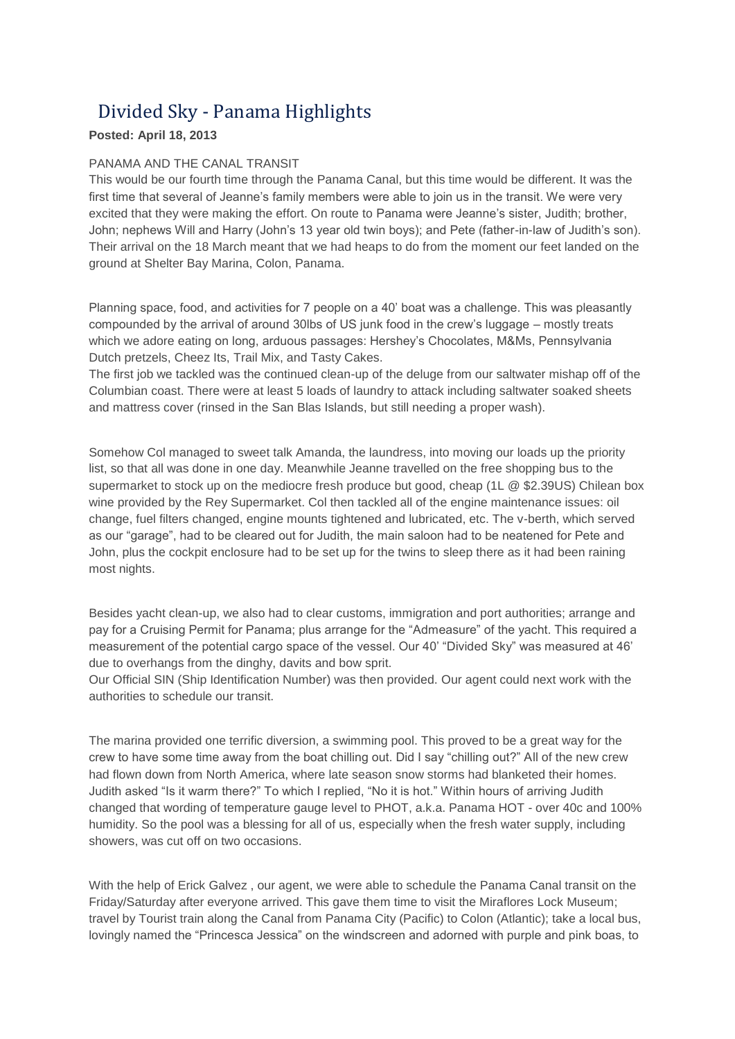## Divided Sky - Panama Highlights

## **Posted: April 18, 2013**

## PANAMA AND THE CANAL TRANSIT

This would be our fourth time through the Panama Canal, but this time would be different. It was the first time that several of Jeanne's family members were able to join us in the transit. We were very excited that they were making the effort. On route to Panama were Jeanne's sister, Judith; brother, John; nephews Will and Harry (John's 13 year old twin boys); and Pete (father-in-law of Judith's son). Their arrival on the 18 March meant that we had heaps to do from the moment our feet landed on the ground at Shelter Bay Marina, Colon, Panama.

Planning space, food, and activities for 7 people on a 40' boat was a challenge. This was pleasantly compounded by the arrival of around 30lbs of US junk food in the crew's luggage – mostly treats which we adore eating on long, arduous passages: Hershey's Chocolates, M&Ms, Pennsylvania Dutch pretzels, Cheez Its, Trail Mix, and Tasty Cakes.

The first job we tackled was the continued clean-up of the deluge from our saltwater mishap off of the Columbian coast. There were at least 5 loads of laundry to attack including saltwater soaked sheets and mattress cover (rinsed in the San Blas Islands, but still needing a proper wash).

Somehow Col managed to sweet talk Amanda, the laundress, into moving our loads up the priority list, so that all was done in one day. Meanwhile Jeanne travelled on the free shopping bus to the supermarket to stock up on the mediocre fresh produce but good, cheap (1L @ \$2.39US) Chilean box wine provided by the Rey Supermarket. Col then tackled all of the engine maintenance issues: oil change, fuel filters changed, engine mounts tightened and lubricated, etc. The v-berth, which served as our "garage", had to be cleared out for Judith, the main saloon had to be neatened for Pete and John, plus the cockpit enclosure had to be set up for the twins to sleep there as it had been raining most nights.

Besides yacht clean-up, we also had to clear customs, immigration and port authorities; arrange and pay for a Cruising Permit for Panama; plus arrange for the "Admeasure" of the yacht. This required a measurement of the potential cargo space of the vessel. Our 40' "Divided Sky" was measured at 46' due to overhangs from the dinghy, davits and bow sprit.

Our Official SIN (Ship Identification Number) was then provided. Our agent could next work with the authorities to schedule our transit.

The marina provided one terrific diversion, a swimming pool. This proved to be a great way for the crew to have some time away from the boat chilling out. Did I say "chilling out?" All of the new crew had flown down from North America, where late season snow storms had blanketed their homes. Judith asked "Is it warm there?" To which I replied, "No it is hot." Within hours of arriving Judith changed that wording of temperature gauge level to PHOT, a.k.a. Panama HOT - over 40c and 100% humidity. So the pool was a blessing for all of us, especially when the fresh water supply, including showers, was cut off on two occasions.

With the help of Erick Galvez , our agent, we were able to schedule the Panama Canal transit on the Friday/Saturday after everyone arrived. This gave them time to visit the Miraflores Lock Museum; travel by Tourist train along the Canal from Panama City (Pacific) to Colon (Atlantic); take a local bus, lovingly named the "Princesca Jessica" on the windscreen and adorned with purple and pink boas, to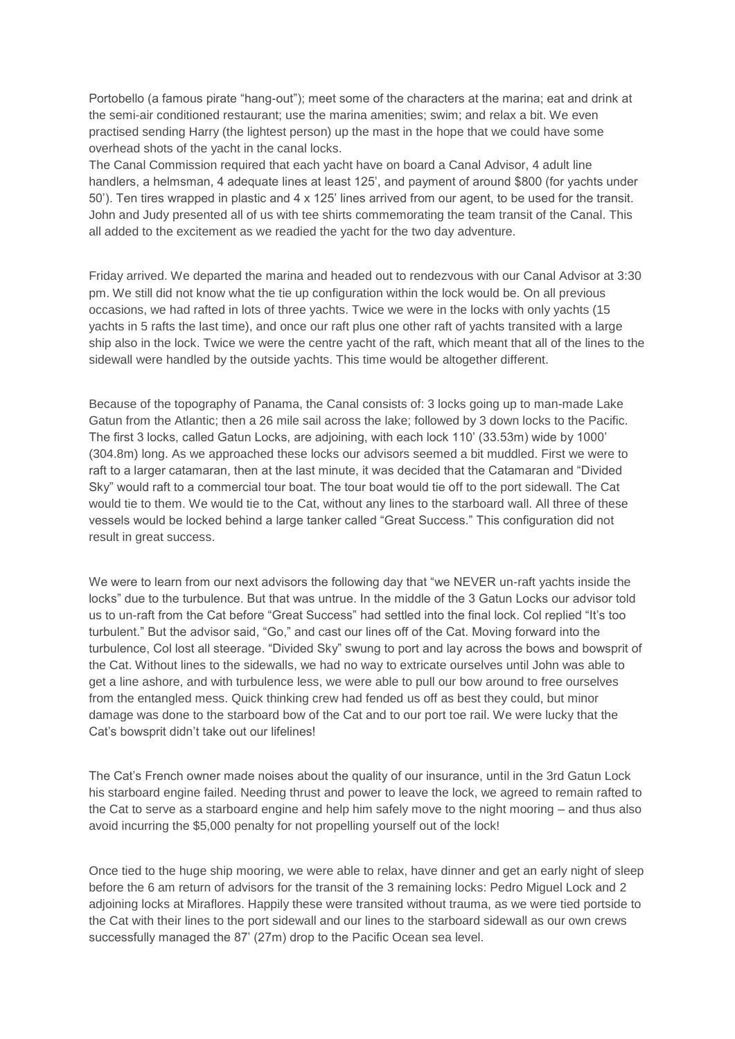Portobello (a famous pirate "hang-out"); meet some of the characters at the marina; eat and drink at the semi-air conditioned restaurant; use the marina amenities; swim; and relax a bit. We even practised sending Harry (the lightest person) up the mast in the hope that we could have some overhead shots of the yacht in the canal locks.

The Canal Commission required that each yacht have on board a Canal Advisor, 4 adult line handlers, a helmsman, 4 adequate lines at least 125', and payment of around \$800 (for yachts under 50'). Ten tires wrapped in plastic and 4 x 125' lines arrived from our agent, to be used for the transit. John and Judy presented all of us with tee shirts commemorating the team transit of the Canal. This all added to the excitement as we readied the yacht for the two day adventure.

Friday arrived. We departed the marina and headed out to rendezvous with our Canal Advisor at 3:30 pm. We still did not know what the tie up configuration within the lock would be. On all previous occasions, we had rafted in lots of three yachts. Twice we were in the locks with only yachts (15 yachts in 5 rafts the last time), and once our raft plus one other raft of yachts transited with a large ship also in the lock. Twice we were the centre yacht of the raft, which meant that all of the lines to the sidewall were handled by the outside yachts. This time would be altogether different.

Because of the topography of Panama, the Canal consists of: 3 locks going up to man-made Lake Gatun from the Atlantic; then a 26 mile sail across the lake; followed by 3 down locks to the Pacific. The first 3 locks, called Gatun Locks, are adjoining, with each lock 110' (33.53m) wide by 1000' (304.8m) long. As we approached these locks our advisors seemed a bit muddled. First we were to raft to a larger catamaran, then at the last minute, it was decided that the Catamaran and "Divided Sky" would raft to a commercial tour boat. The tour boat would tie off to the port sidewall. The Cat would tie to them. We would tie to the Cat, without any lines to the starboard wall. All three of these vessels would be locked behind a large tanker called "Great Success." This configuration did not result in great success.

We were to learn from our next advisors the following day that "we NEVER un-raft yachts inside the locks" due to the turbulence. But that was untrue. In the middle of the 3 Gatun Locks our advisor told us to un-raft from the Cat before "Great Success" had settled into the final lock. Col replied "It's too turbulent." But the advisor said, "Go," and cast our lines off of the Cat. Moving forward into the turbulence, Col lost all steerage. "Divided Sky" swung to port and lay across the bows and bowsprit of the Cat. Without lines to the sidewalls, we had no way to extricate ourselves until John was able to get a line ashore, and with turbulence less, we were able to pull our bow around to free ourselves from the entangled mess. Quick thinking crew had fended us off as best they could, but minor damage was done to the starboard bow of the Cat and to our port toe rail. We were lucky that the Cat's bowsprit didn't take out our lifelines!

The Cat's French owner made noises about the quality of our insurance, until in the 3rd Gatun Lock his starboard engine failed. Needing thrust and power to leave the lock, we agreed to remain rafted to the Cat to serve as a starboard engine and help him safely move to the night mooring – and thus also avoid incurring the \$5,000 penalty for not propelling yourself out of the lock!

Once tied to the huge ship mooring, we were able to relax, have dinner and get an early night of sleep before the 6 am return of advisors for the transit of the 3 remaining locks: Pedro Miguel Lock and 2 adjoining locks at Miraflores. Happily these were transited without trauma, as we were tied portside to the Cat with their lines to the port sidewall and our lines to the starboard sidewall as our own crews successfully managed the 87' (27m) drop to the Pacific Ocean sea level.